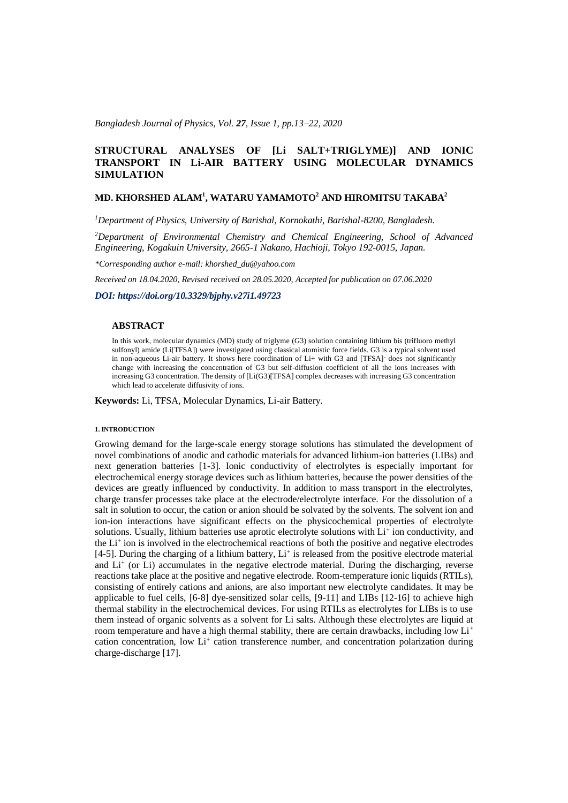*Bangladesh Journal of Physics, Vol. 27, Issue 1, pp.13*−*22, 2020*

# **STRUCTURAL ANALYSES OF [Li SALT+TRIGLYME)] AND IONIC TRANSPORT IN Li-AIR BATTERY USING MOLECULAR DYNAMICS SIMULATION**

## **MD. KHORSHED ALAM<sup>1</sup> , WATARU YAMAMOTO<sup>2</sup> AND HIROMITSU TAKABA<sup>2</sup>**

*<sup>1</sup>Department of Physics, University of Barishal, Kornokathi, Barishal-8200, Bangladesh.*

*<sup>2</sup>Department of Environmental Chemistry and Chemical Engineering, School of Advanced Engineering, Kogakuin University, 2665-1 Nakano, Hachioji, Tokyo 192-0015, Japan.*

*\*Corresponding author e-mail: khorshed\_du@yahoo.com*

*Received on 18.04.2020, Revised received on 28.05.2020, Accepted for publication on 07.06.2020*

*DOI: https://doi.org/10.3329/bjphy.v27i1.49723*

### **ABSTRACT**

In this work, molecular dynamics (MD) study of triglyme (G3) solution containing lithium bis (trifluoro methyl sulfonyl) amide (Li[TFSA]) were investigated using classical atomistic force fields. G3 is a typical solvent used in non-aqueous Li-air battery. It shows here coordination of Li+ with G3 and [TFSA]- does not significantly change with increasing the concentration of G3 but self-diffusion coefficient of all the ions increases with increasing G3 concentration. The density of [Li(G3)[TFSA] complex decreases with increasing G3 concentration which lead to accelerate diffusivity of ions.

**Keywords:** Li, TFSA, Molecular Dynamics, Li-air Battery.

#### **1. INTRODUCTION**

Growing demand for the large-scale energy storage solutions has stimulated the development of novel combinations of anodic and cathodic materials for advanced lithium-ion batteries (LIBs) and next generation batteries [1-3]. Ionic conductivity of electrolytes is especially important for electrochemical energy storage devices such as lithium batteries, because the power densities of the devices are greatly influenced by conductivity. In addition to mass transport in the electrolytes, charge transfer processes take place at the electrode/electrolyte interface. For the dissolution of a salt in solution to occur, the cation or anion should be solvated by the solvents. The solvent ion and ion-ion interactions have significant effects on the physicochemical properties of electrolyte solutions. Usually, lithium batteries use aprotic electrolyte solutions with Li<sup>+</sup> ion conductivity, and the Li<sup>+</sup> ion is involved in the electrochemical reactions of both the positive and negative electrodes [4-5]. During the charging of a lithium battery, Li<sup>+</sup> is released from the positive electrode material and Li<sup>+</sup> (or Li) accumulates in the negative electrode material. During the discharging, reverse reactions take place at the positive and negative electrode. Room-temperature ionic liquids (RTILs), consisting of entirely cations and anions, are also important new electrolyte candidates. It may be applicable to fuel cells, [6-8] dye-sensitized solar cells, [9-11] and LIBs [12-16] to achieve high thermal stability in the electrochemical devices. For using RTILs as electrolytes for LIBs is to use them instead of organic solvents as a solvent for Li salts. Although these electrolytes are liquid at room temperature and have a high thermal stability, there are certain drawbacks, including low Li<sup>+</sup> cation concentration, low Li<sup>+</sup> cation transference number, and concentration polarization during charge-discharge [17].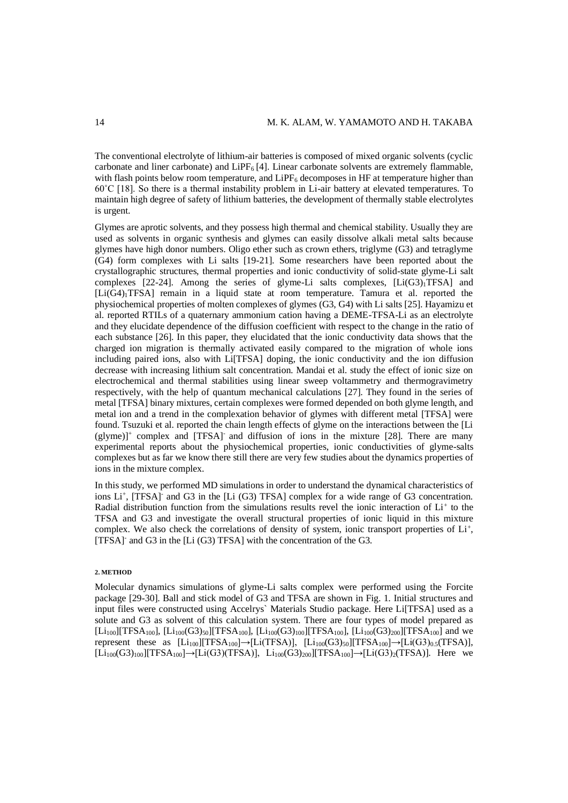The conventional electrolyte of lithium-air batteries is composed of mixed organic solvents (cyclic carbonate and liner carbonate) and LiPF $_6$  [4]. Linear carbonate solvents are extremely flammable, with flash points below room temperature, and  $\text{LiPF}_6$  decomposes in HF at temperature higher than 60˚C [18]. So there is a thermal instability problem in Li-air battery at elevated temperatures. To maintain high degree of safety of lithium batteries, the development of thermally stable electrolytes is urgent.

Glymes are aprotic solvents, and they possess high thermal and chemical stability. Usually they are used as solvents in organic synthesis and glymes can easily dissolve alkali metal salts because glymes have high donor numbers. Oligo ether such as crown ethers, triglyme (G3) and tetraglyme (G4) form complexes with Li salts [19-21]. Some researchers have been reported about the crystallographic structures, thermal properties and ionic conductivity of solid-state glyme-Li salt complexes  $[22-24]$ . Among the series of glyme-Li salts complexes,  $[L(G3)]TFSA]$  and [Li(G4)1TFSA] remain in a liquid state at room temperature. Tamura et al. reported the physiochemical properties of molten complexes of glymes (G3, G4) with Li salts [25]. Hayamizu et al. reported RTILs of a quaternary ammonium cation having a DEME-TFSA-Li as an electrolyte and they elucidate dependence of the diffusion coefficient with respect to the change in the ratio of each substance [26]. In this paper, they elucidated that the ionic conductivity data shows that the charged ion migration is thermally activated easily compared to the migration of whole ions including paired ions, also with Li[TFSA] doping, the ionic conductivity and the ion diffusion decrease with increasing lithium salt concentration. Mandai et al. study the effect of ionic size on electrochemical and thermal stabilities using linear sweep voltammetry and thermogravimetry respectively, with the help of quantum mechanical calculations [27]. They found in the series of metal [TFSA] binary mixtures, certain complexes were formed depended on both glyme length, and metal ion and a trend in the complexation behavior of glymes with different metal [TFSA] were found. Tsuzuki et al. reported the chain length effects of glyme on the interactions between the [Li (glyme)]<sup>+</sup> complex and [TFSA]- and diffusion of ions in the mixture [28]. There are many experimental reports about the physiochemical properties, ionic conductivities of glyme-salts complexes but as far we know there still there are very few studies about the dynamics properties of ions in the mixture complex.

In this study, we performed MD simulations in order to understand the dynamical characteristics of ions Li<sup>+</sup>, [TFSA] and G3 in the [Li (G3) TFSA] complex for a wide range of G3 concentration. Radial distribution function from the simulations results revel the ionic interaction of Li<sup>+</sup> to the TFSA and G3 and investigate the overall structural properties of ionic liquid in this mixture complex. We also check the correlations of density of system, ionic transport properties of  $Li^{+}$ , [TFSA] and G3 in the [Li (G3) TFSA] with the concentration of the G3.

#### **2. METHOD**

Molecular dynamics simulations of glyme-Li salts complex were performed using the Forcite package [29-30]. Ball and stick model of G3 and TFSA are shown in Fig. 1. Initial structures and input files were constructed using Accelrys` Materials Studio package. Here Li[TFSA] used as a solute and G3 as solvent of this calculation system. There are four types of model prepared as  $[Li_{100}][TFSA_{100}]$ ,  $[Li_{100}(G3)_{50}][TFSA_{100}]$ ,  $[Li_{100}(G3)_{100}][TFSA_{100}]$ ,  $[Li_{100}(G3)_{200}][TFSA_{100}]$  and we represent these as  $[Li_{100}][TFSA_{100}] \rightarrow [Li(TFSA)]$ ,  $[Li_{100}(G3)_{50}][TFSA_{100}] \rightarrow [Li(G3)_{0.5}(TFSA)]$ ,  $[Li_{100}(G3)_{100}]$ [TFSA<sub>100</sub>] $\rightarrow$ [Li(G3)(TFSA)],  $Li_{100}(G3)_{200}$ ][TFSA<sub>100</sub>] $\rightarrow$ [Li(G3)<sub>2</sub>(TFSA)]. Here we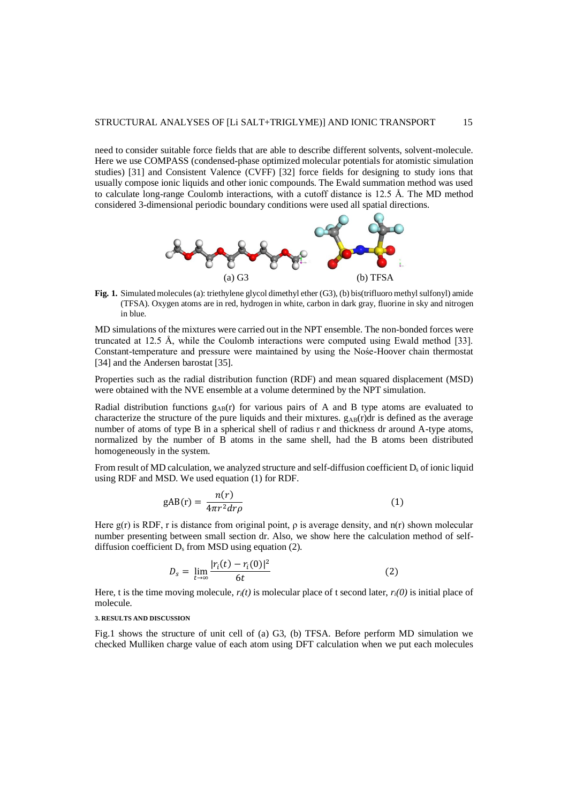need to consider suitable force fields that are able to describe different solvents, solvent-molecule. Here we use COMPASS (condensed-phase optimized molecular potentials for atomistic simulation studies) [31] and Consistent Valence (CVFF) [32] force fields for designing to study ions that usually compose ionic liquids and other ionic compounds. The Ewald summation method was used to calculate long-range Coulomb interactions, with a cutoff distance is 12.5 Å. The MD method considered 3-dimensional periodic boundary conditions were used all spatial directions.



**Fig. 1.** Simulated molecules (a): triethylene glycol dimethyl ether (G3), (b) bis(trifluoro methyl sulfonyl) amide (TFSA). Oxygen atoms are in red, hydrogen in white, carbon in dark gray, fluorine in sky and nitrogen in blue.

MD simulations of the mixtures were carried out in the NPT ensemble. The non-bonded forces were truncated at 12.5 Å, while the Coulomb interactions were computed using Ewald method [33]. Constant-temperature and pressure were maintained by using the Nośe-Hoover chain thermostat [34] and the Andersen barostat [35].

Properties such as the radial distribution function (RDF) and mean squared displacement (MSD) were obtained with the NVE ensemble at a volume determined by the NPT simulation.

Radial distribution functions  $g_{AB}(r)$  for various pairs of A and B type atoms are evaluated to characterize the structure of the pure liquids and their mixtures.  $g_{AB}(r)dr$  is defined as the average number of atoms of type B in a spherical shell of radius r and thickness dr around A-type atoms, normalized by the number of B atoms in the same shell, had the B atoms been distributed homogeneously in the system.

From result of MD calculation, we analyzed structure and self-diffusion coefficient  $D<sub>s</sub>$  of ionic liquid using RDF and MSD. We used equation (1) for RDF.

$$
gAB(r) = \frac{n(r)}{4\pi r^2 dr \rho} \tag{1}
$$

Here  $g(r)$  is RDF, r is distance from original point,  $\rho$  is average density, and  $n(r)$  shown molecular number presenting between small section dr. Also, we show here the calculation method of selfdiffusion coefficient D<sub>s</sub> from MSD using equation (2).

$$
D_s = \lim_{t \to \infty} \frac{|r_i(t) - r_i(0)|^2}{6t} \tag{2}
$$

Here, t is the time moving molecule,  $r_i(t)$  is molecular place of t second later,  $r_i(0)$  is initial place of molecule.

### **3. RESULTS AND DISCUSSION**

Fig.1 shows the structure of unit cell of (a) G3, (b) TFSA. Before perform MD simulation we checked Mulliken charge value of each atom using DFT calculation when we put each molecules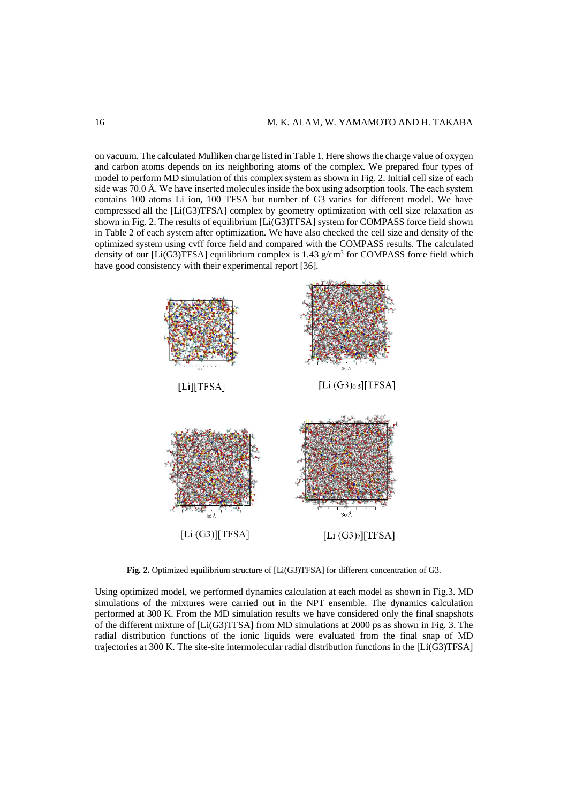on vacuum. The calculated Mulliken charge listed in Table 1. Here shows the charge value of oxygen and carbon atoms depends on its neighboring atoms of the complex. We prepared four types of model to perform MD simulation of this complex system as shown in Fig. 2. Initial cell size of each side was 70.0 Å. We have inserted molecules inside the box using adsorption tools. The each system contains 100 atoms Li ion, 100 TFSA but number of G3 varies for different model. We have compressed all the [Li(G3)TFSA] complex by geometry optimization with cell size relaxation as shown in Fig. 2. The results of equilibrium [Li(G3)TFSA] system for COMPASS force field shown in Table 2 of each system after optimization. We have also checked the cell size and density of the optimized system using cvff force field and compared with the COMPASS results. The calculated density of our [ $Li(G3)TFSA$ ] equilibrium complex is 1.43  $g/cm<sup>3</sup>$  for COMPASS force field which have good consistency with their experimental report [36].



**Fig. 2.** Optimized equilibrium structure of [Li(G3)TFSA] for different concentration of G3.

Using optimized model, we performed dynamics calculation at each model as shown in Fig.3. MD simulations of the mixtures were carried out in the NPT ensemble. The dynamics calculation performed at 300 K. From the MD simulation results we have considered only the final snapshots of the different mixture of [Li(G3)TFSA] from MD simulations at 2000 ps as shown in Fig. 3. The radial distribution functions of the ionic liquids were evaluated from the final snap of MD trajectories at 300 K. The site-site intermolecular radial distribution functions in the [Li(G3)TFSA]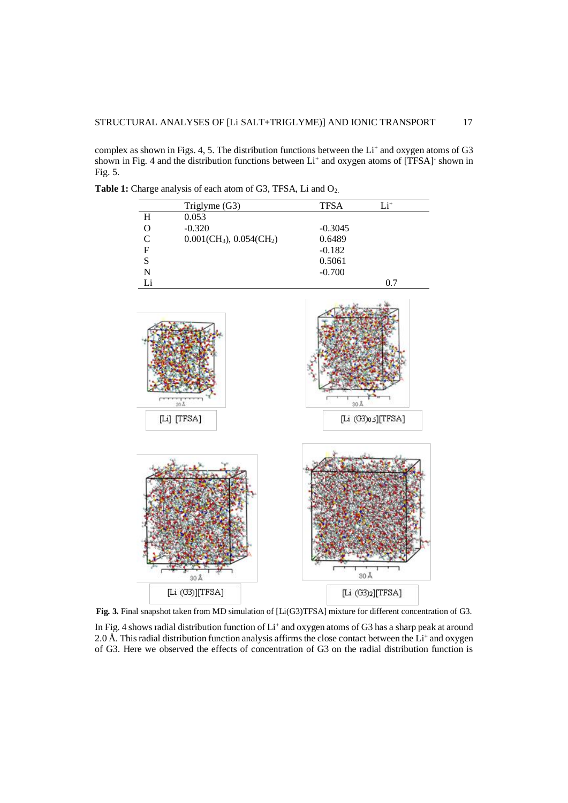complex as shown in Figs. 4, 5. The distribution functions between the  $Li<sup>+</sup>$  and oxygen atoms of G3 shown in Fig. 4 and the distribution functions between Li<sup>+</sup> and oxygen atoms of [TFSA] shown in Fig. 5.

|                           | Triglyme (G3)                                          | <b>TFSA</b> | $\mathrm{Li}^+$    |
|---------------------------|--------------------------------------------------------|-------------|--------------------|
| $\rm H$                   | 0.053                                                  |             |                    |
| $\mathbf O$               | $-0.320$                                               | $-0.3045$   |                    |
| $\mathsf{C}$              | $0.001$ (CH <sub>3</sub> ), $0.054$ (CH <sub>2</sub> ) | 0.6489      |                    |
| $\boldsymbol{\mathrm{F}}$ |                                                        | $-0.182$    |                    |
| S                         |                                                        | 0.5061      |                    |
| $\overline{\rm N}$        |                                                        | $-0.700$    |                    |
| Li                        |                                                        |             | 0.7                |
|                           | $20\,\text{\AA}$<br>[Li] [TFSA]                        | 30 Å        | [TFSA][ر G3)[TFSA] |
|                           | 30Å                                                    |             | 30 Å               |
|                           | [Li (G3)][TFSA]                                        |             | [Li (G3)2][TFSA]   |

Table 1: Charge analysis of each atom of G3, TFSA, Li and O<sub>2.</sub>

**Fig. 3.** Final snapshot taken from MD simulation of [Li(G3)TFSA] mixture for different concentration of G3.

In Fig. 4 shows radial distribution function of  $Li<sup>+</sup>$  and oxygen atoms of G3 has a sharp peak at around 2.0 Å. This radial distribution function analysis affirms the close contact between the  $Li<sup>+</sup>$  and oxygen of G3. Here we observed the effects of concentration of G3 on the radial distribution function is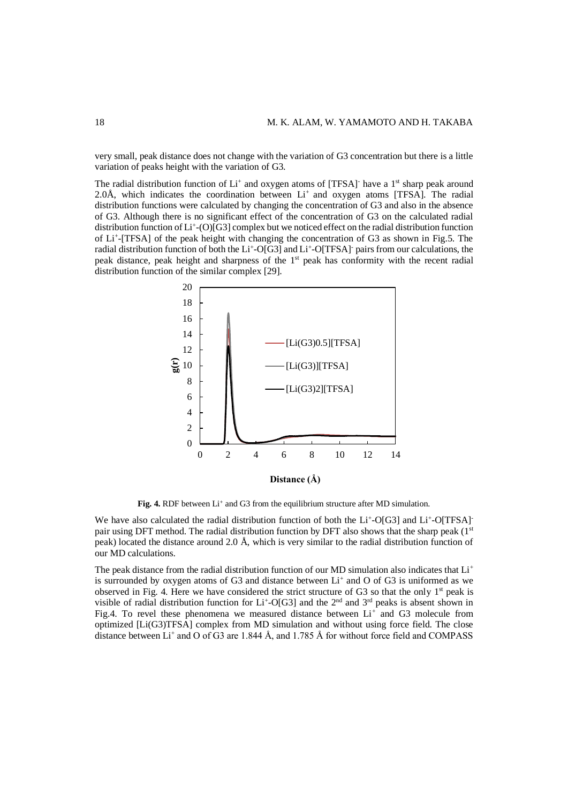very small, peak distance does not change with the variation of G3 concentration but there is a little variation of peaks height with the variation of G3.

The radial distribution function of  $Li^+$  and oxygen atoms of [TFSA] have a  $1<sup>st</sup>$  sharp peak around  $2.0\text{\AA}$ , which indicates the coordination between Li<sup>+</sup> and oxygen atoms [TFSA]. The radial distribution functions were calculated by changing the concentration of G3 and also in the absence of G3. Although there is no significant effect of the concentration of G3 on the calculated radial distribution function of Li<sup>+</sup>-(O)[G3] complex but we noticed effect on the radial distribution function of Li<sup>+</sup> -[TFSA] of the peak height with changing the concentration of G3 as shown in Fig.5. The radial distribution function of both the Li<sup>+</sup>-O[G3] and Li<sup>+</sup>-O[TFSA] pairs from our calculations, the peak distance, peak height and sharpness of the 1<sup>st</sup> peak has conformity with the recent radial distribution function of the similar complex [29].



Fig. 4. RDF between Li<sup>+</sup> and G3 from the equilibrium structure after MD simulation.

We have also calculated the radial distribution function of both the Li<sup>+</sup>-O[G3] and Li<sup>+</sup>-O[TFSA]<sup>-</sup> pair using DFT method. The radial distribution function by DFT also shows that the sharp peak  $(1<sup>st</sup>$ peak) located the distance around 2.0 Å, which is very similar to the radial distribution function of our MD calculations.

The peak distance from the radial distribution function of our MD simulation also indicates that  $Li<sup>+</sup>$ is surrounded by oxygen atoms of G3 and distance between  $Li<sup>+</sup>$  and O of G3 is uniformed as we observed in Fig. 4. Here we have considered the strict structure of G3 so that the only 1<sup>st</sup> peak is visible of radial distribution function for Li<sup>+</sup>-O[G3] and the 2<sup>nd</sup> and 3<sup>rd</sup> peaks is absent shown in Fig.4. To revel these phenomena we measured distance between Li<sup>+</sup> and G3 molecule from optimized [Li(G3)TFSA] complex from MD simulation and without using force field. The close distance between Li<sup>+</sup> and O of G3 are 1.844 Å, and 1.785 Å for without force field and COMPASS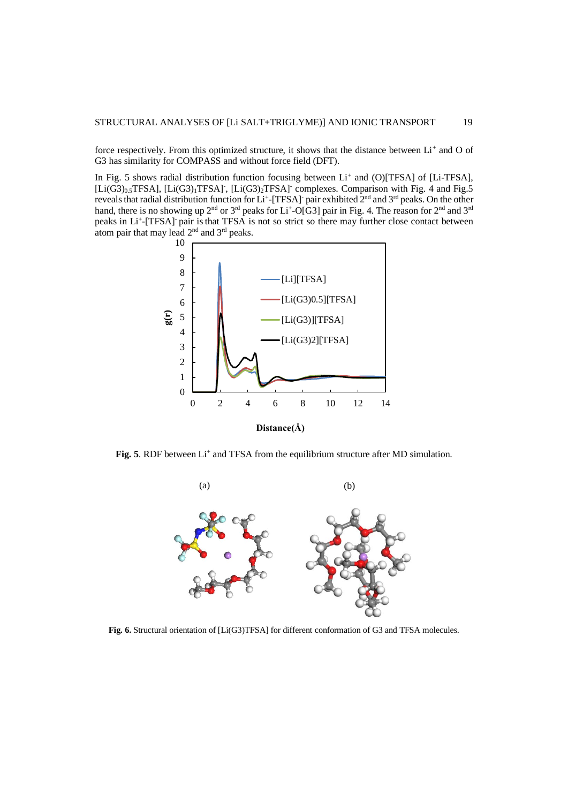force respectively. From this optimized structure, it shows that the distance between Li<sup>+</sup> and O of G3 has similarity for COMPASS and without force field (DFT).

In Fig. 5 shows radial distribution function focusing between Li<sup>+</sup> and (O)[TFSA] of [Li-TFSA], [Li(G3)<sub>0.5</sub>TFSA], [Li(G3)<sub>1</sub>TFSA]<sup>-</sup>, [Li(G3)<sub>2</sub>TFSA]<sup>-</sup> complexes. Comparison with Fig. 4 and Fig.5 reveals that radial distribution function for Li<sup>+</sup>-[TFSA] pair exhibited 2<sup>nd</sup> and 3<sup>rd</sup> peaks. On the other hand, there is no showing up  $2^{nd}$  or  $3^{rd}$  peaks for Li<sup>+</sup>-O[G3] pair in Fig. 4. The reason for  $2^{nd}$  and  $3^{rd}$ peaks in Li<sup>+</sup>-[TFSA] pair is that TFSA is not so strict so there may further close contact between atom pair that may lead 2nd and 3rd peaks.



Fig. 5. RDF between Li<sup>+</sup> and TFSA from the equilibrium structure after MD simulation.



**Fig. 6.** Structural orientation of [Li(G3)TFSA] for different conformation of G3 and TFSA molecules.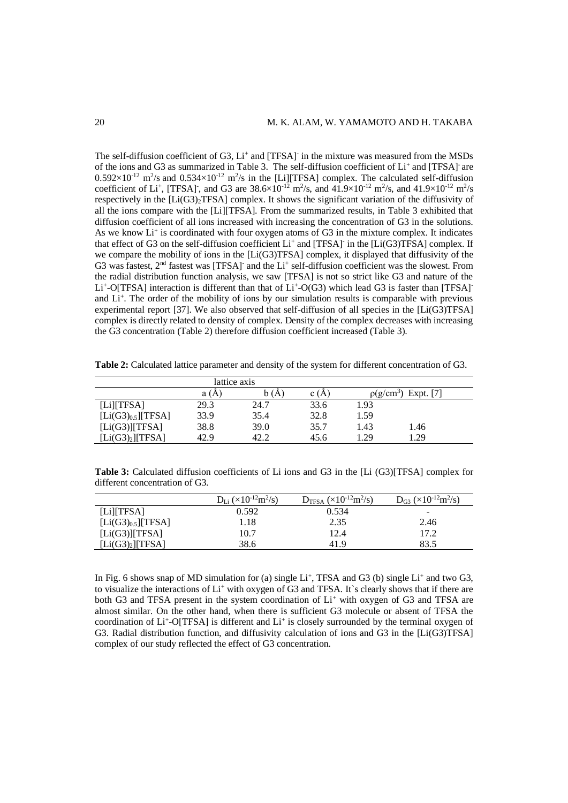The self-diffusion coefficient of G3, Li<sup>+</sup> and [TFSA] in the mixture was measured from the MSDs of the ions and G3 as summarized in Table 3. The self-diffusion coefficient of Li<sup>+</sup> and [TFSA] are  $0.592\times10^{-12}$  m<sup>2</sup>/s and  $0.534\times10^{-12}$  m<sup>2</sup>/s in the [Li][TFSA] complex. The calculated self-diffusion coefficient of Li<sup>+</sup>, [TFSA]<sup>-</sup>, and G3 are 38.6×10<sup>-12</sup> m<sup>2</sup>/s, and 41.9×10<sup>-12</sup> m<sup>2</sup>/s, and 41.9×10<sup>-12</sup> m<sup>2</sup>/s respectively in the [Li(G3)<sub>2</sub>TFSA] complex. It shows the significant variation of the diffusivity of all the ions compare with the [Li][TFSA]. From the summarized results, in Table 3 exhibited that diffusion coefficient of all ions increased with increasing the concentration of G3 in the solutions. As we know Li<sup>+</sup> is coordinated with four oxygen atoms of G3 in the mixture complex. It indicates that effect of G3 on the self-diffusion coefficient  $Li^+$  and [TFSA] in the [Li(G3)TFSA] complex. If we compare the mobility of ions in the [Li(G3)TFSA] complex, it displayed that diffusivity of the G3 was fastest,  $2<sup>nd</sup>$  fastest was [TFSA] and the Li<sup>+</sup> self-diffusion coefficient was the slowest. From the radial distribution function analysis, we saw [TFSA] is not so strict like G3 and nature of the Li<sup>+</sup>-O[TFSA] interaction is different than that of Li<sup>+</sup>-O(G3) which lead G3 is faster than [TFSA] and Li<sup>+</sup>. The order of the mobility of ions by our simulation results is comparable with previous experimental report [37]. We also observed that self-diffusion of all species in the [Li(G3)TFSA] complex is directly related to density of complex. Density of the complex decreases with increasing the G3 concentration (Table 2) therefore diffusion coefficient increased (Table 3).

| lattice axis                 |      |      |      |                             |      |  |  |
|------------------------------|------|------|------|-----------------------------|------|--|--|
|                              |      |      |      |                             |      |  |  |
|                              | a (A | A    | c (A | Expt. [7]<br>$\rho(g/cm^3)$ |      |  |  |
| $[Li]$ [TFSA]                | 29.3 | 24.7 | 33.6 | 1.93                        |      |  |  |
| $[Li(G3)_{0.5}]$ [TFSA]      | 33.9 | 35.4 | 32.8 | 1.59                        |      |  |  |
| $[Li(G3)]$ [TFSA]            | 38.8 | 39.0 | 35.7 | 1.43                        | 1.46 |  |  |
| [Li(G3) <sub>2</sub> ][TFSA] | 42.9 | 42.2 | 45.6 | 1.29                        | 1.29 |  |  |

**Table 2:** Calculated lattice parameter and density of the system for different concentration of G3.

**Table 3:** Calculated diffusion coefficients of Li ions and G3 in the [Li (G3)[TFSA] complex for different concentration of G3.

|                         | $D_{Li}$ (×10 <sup>-12</sup> m <sup>2</sup> /s) | $D_{TFSA}$ (×10 <sup>-12</sup> m <sup>2</sup> /s) | $D_{G3}$ (×10 <sup>-12</sup> m <sup>2</sup> /s) |
|-------------------------|-------------------------------------------------|---------------------------------------------------|-------------------------------------------------|
| [Li][TFSA]              | 0.592                                           | 0.534                                             | $\overline{\phantom{0}}$                        |
| $[Li(G3)_{0.5}]$ [TFSA] | 1.18                                            | 2.35                                              | 2.46                                            |
| $[Li(G3)]$ [TFSA]       | 10.7                                            | 12.4                                              | 17.2                                            |
| $[Li(G3)_2][TFSA]$      | 38.6                                            | 41.9                                              | 83.5                                            |

In Fig. 6 shows snap of MD simulation for (a) single  $Li<sup>+</sup>$ , TFSA and G3 (b) single  $Li<sup>+</sup>$  and two G3, to visualize the interactions of Li<sup>+</sup> with oxygen of G3 and TFSA. It`s clearly shows that if there are both G3 and TFSA present in the system coordination of  $Li<sup>+</sup>$  with oxygen of G3 and TFSA are almost similar. On the other hand, when there is sufficient G3 molecule or absent of TFSA the coordination of Li<sup>+</sup>-O[TFSA] is different and Li<sup>+</sup> is closely surrounded by the terminal oxygen of G3. Radial distribution function, and diffusivity calculation of ions and G3 in the [Li(G3)TFSA] complex of our study reflected the effect of G3 concentration.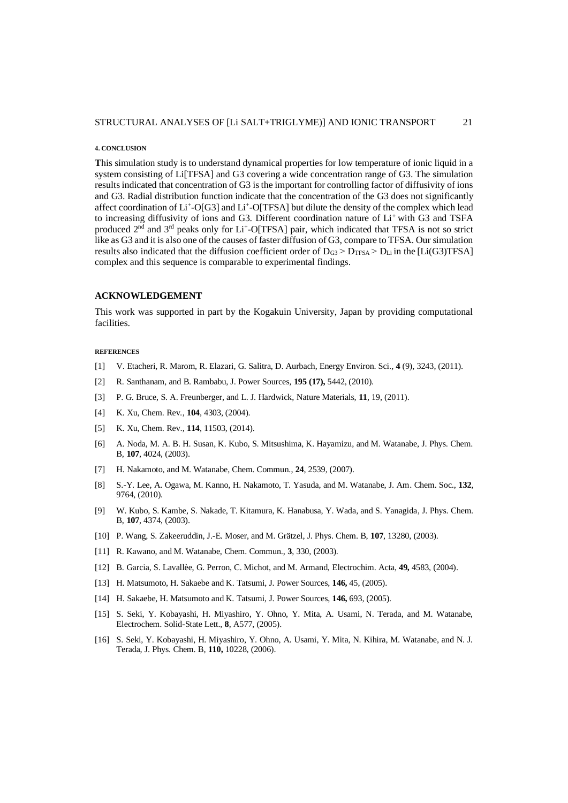#### **4. CONCLUSION**

**T**his simulation study is to understand dynamical properties for low temperature of ionic liquid in a system consisting of Li<sup>[TFSA]</sup> and G3 covering a wide concentration range of G3. The simulation results indicated that concentration of G3 is the important for controlling factor of diffusivity of ions and G3. Radial distribution function indicate that the concentration of the G3 does not significantly affect coordination of Li<sup>+</sup>-O[G3] and Li<sup>+</sup>-O[TFSA] but dilute the density of the complex which lead to increasing diffusivity of ions and G3. Different coordination nature of Li+with G3 and TSFA produced  $2<sup>nd</sup>$  and  $3<sup>rd</sup>$  peaks only for Li<sup>+</sup>-O[TFSA] pair, which indicated that TFSA is not so strict like as G3 and it is also one of the causes of faster diffusion of G3, compare to TFSA. Our simulation results also indicated that the diffusion coefficient order of  $D_{G3}$  >  $D_{TFSA}$  >  $D_{Li}$  in the [Li(G3)TFSA] complex and this sequence is comparable to experimental findings.

### **ACKNOWLEDGEMENT**

This work was supported in part by the Kogakuin University, Japan by providing computational facilities.

#### **REFERENCES**

- [1] V. Etacheri, R. Marom, R. Elazari, G. Salitra, D. Aurbach, Energy Environ. Sci.*,* **4** (9), 3243, (2011).
- [2] R. Santhanam, and B. Rambabu, J. Power Sources, **195 (17),** 5442, (2010).
- [3] P. G. Bruce, S. A. Freunberger, and L. J. Hardwick, Nature Materials, **11**, 19, (2011).
- [4] K. Xu, Chem. Rev*.*, **104**, 4303, (2004).
- [5] K. Xu, Chem. Rev., **114**, 11503, (2014).
- [6] A. Noda, M. A. B. H. Susan, K. Kubo, S. Mitsushima, K. Hayamizu, and M. Watanabe, J. Phys. Chem. B*,* **107**, 4024, (2003).
- [7] H. Nakamoto, and M. Watanabe, Chem. Commun., **24**, 2539, (2007).
- [8] S.-Y. Lee, A. Ogawa, M. Kanno, H. Nakamoto, T. Yasuda, and M. Watanabe, J. Am. Chem. Soc., **132**, 9764, (2010).
- [9] W. Kubo, S. Kambe, S. Nakade, T. Kitamura, K. Hanabusa, Y. Wada, and S. Yanagida*,* J. Phys. Chem. B, **107**, 4374, (2003).
- [10] P. Wang, S. Zakeeruddin, J.-E. Moser, and M. Grätzel, J. Phys. Chem. B, **107**, 13280, (2003).
- [11] R. Kawano, and M. Watanabe, Chem. Commun., **3**, 330, (2003).
- [12] B. Garcia, S. Lavallèe, G. Perron, C. Michot, and M. Armand, Electrochim. Acta, **49,** 4583, (2004).
- [13] H. Matsumoto, H. Sakaebe and K. Tatsumi, J. Power Sources, **146,** 45, (2005).
- [14] H. Sakaebe, H. Matsumoto and K. Tatsumi, J. Power Sources, **146,** 693, (2005).
- [15] S. Seki, Y. Kobayashi, H. Miyashiro, Y. Ohno, Y. Mita, A. Usami, N. Terada, and M. Watanabe, Electrochem. Solid-State Lett., **8**, A577, (2005).
- [16] S. Seki, Y. Kobayashi, H. Miyashiro, Y. Ohno, A. Usami, Y. Mita, N. Kihira, M. Watanabe, and N. J. Terada, J. Phys. Chem. B*,* **110,** 10228, (2006).